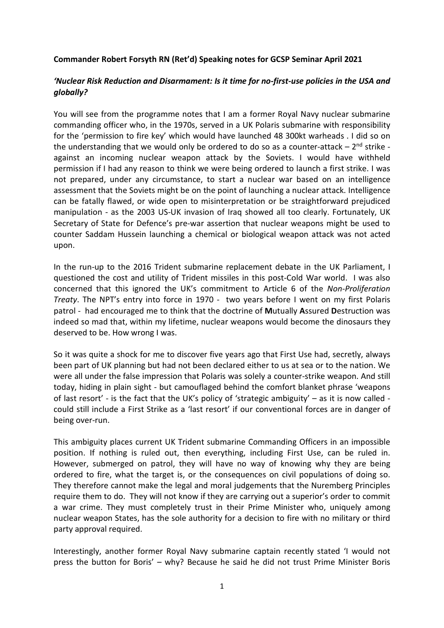## **Commander Robert Forsyth RN (Ret'd) Speaking notes for GCSP Seminar April 2021**

## *'Nuclear Risk Reduction and Disarmament: Is it time for no-first-use policies in the USA and globally?*

You will see from the programme notes that I am a former Royal Navy nuclear submarine commanding officer who, in the 1970s, served in a UK Polaris submarine with responsibility for the 'permission to fire key' which would have launched 48 300kt warheads . I did so on the understanding that we would only be ordered to do so as a counter-attack  $-2^{nd}$  strike against an incoming nuclear weapon attack by the Soviets. I would have withheld permission if I had any reason to think we were being ordered to launch a first strike. I was not prepared, under any circumstance, to start a nuclear war based on an intelligence assessment that the Soviets might be on the point of launching a nuclear attack. Intelligence can be fatally flawed, or wide open to misinterpretation or be straightforward prejudiced manipulation - as the 2003 US-UK invasion of Iraq showed all too clearly. Fortunately, UK Secretary of State for Defence's pre-war assertion that nuclear weapons might be used to counter Saddam Hussein launching a chemical or biological weapon attack was not acted upon.

In the run-up to the 2016 Trident submarine replacement debate in the UK Parliament, I questioned the cost and utility of Trident missiles in this post-Cold War world. I was also concerned that this ignored the UK's commitment to Article 6 of the *Non-Proliferation Treaty*. The NPT's entry into force in 1970 - two years before I went on my first Polaris patrol - had encouraged me to think that the doctrine of **M**utually **A**ssured **D**estruction was indeed so mad that, within my lifetime, nuclear weapons would become the dinosaurs they deserved to be. How wrong I was.

So it was quite a shock for me to discover five years ago that First Use had, secretly, always been part of UK planning but had not been declared either to us at sea or to the nation. We were all under the false impression that Polaris was solely a counter-strike weapon. And still today, hiding in plain sight - but camouflaged behind the comfort blanket phrase 'weapons of last resort' - is the fact that the UK's policy of 'strategic ambiguity'  $-$  as it is now called could still include a First Strike as a 'last resort' if our conventional forces are in danger of being over-run.

This ambiguity places current UK Trident submarine Commanding Officers in an impossible position. If nothing is ruled out, then everything, including First Use, can be ruled in. However, submerged on patrol, they will have no way of knowing why they are being ordered to fire, what the target is, or the consequences on civil populations of doing so. They therefore cannot make the legal and moral judgements that the Nuremberg Principles require them to do. They will not know if they are carrying out a superior's order to commit a war crime. They must completely trust in their Prime Minister who, uniquely among nuclear weapon States, has the sole authority for a decision to fire with no military or third party approval required.

Interestingly, another former Royal Navy submarine captain recently stated 'I would not press the button for Boris' – why? Because he said he did not trust Prime Minister Boris